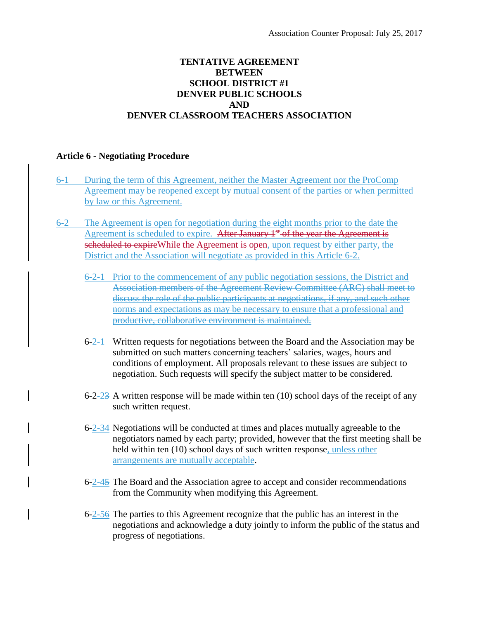## **TENTATIVE AGREEMENT BETWEEN SCHOOL DISTRICT #1 DENVER PUBLIC SCHOOLS AND DENVER CLASSROOM TEACHERS ASSOCIATION**

## **Article 6 - Negotiating Procedure**

- 6-1 During the term of this Agreement, neither the Master Agreement nor the ProComp Agreement may be reopened except by mutual consent of the parties or when permitted by law or this Agreement.
- 6-2 The Agreement is open for negotiation during the eight months prior to the date the Agreement is scheduled to expire. After January  $1<sup>st</sup>$  of the year the Agreement is scheduled to expire While the Agreement is open, upon request by either party, the District and the Association will negotiate as provided in this Article 6-2.
	- 6-2-1 Prior to the commencement of any public negotiation sessions, the District and Association members of the Agreement Review Committee (ARC) shall meet to discuss the role of the public participants at negotiations, if any, and such other norms and expectations as may be necessary to ensure that a professional and productive, collaborative environment is maintained.
	- 6-2-1 Written requests for negotiations between the Board and the Association may be submitted on such matters concerning teachers' salaries, wages, hours and conditions of employment. All proposals relevant to these issues are subject to negotiation. Such requests will specify the subject matter to be considered.
	- 6-2-23 A written response will be made within ten  $(10)$  school days of the receipt of any such written request.
	- 6-2-34 Negotiations will be conducted at times and places mutually agreeable to the negotiators named by each party; provided, however that the first meeting shall be held within ten (10) school days of such written response, unless other arrangements are mutually acceptable.
	- 6-2-45 The Board and the Association agree to accept and consider recommendations from the Community when modifying this Agreement.
	- 6-2-56 The parties to this Agreement recognize that the public has an interest in the negotiations and acknowledge a duty jointly to inform the public of the status and progress of negotiations.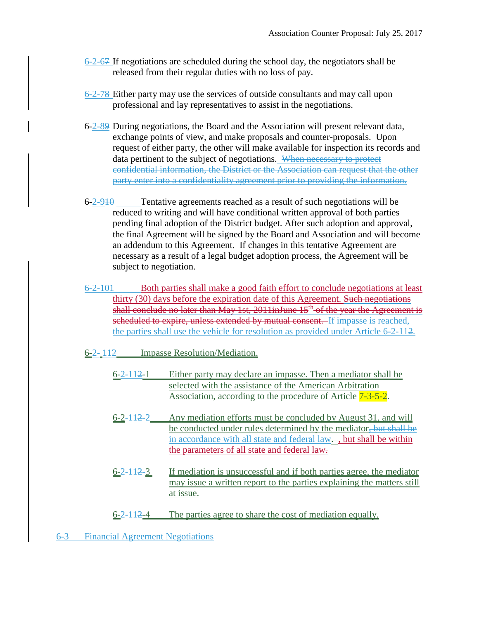- 6-2-67 If negotiations are scheduled during the school day, the negotiators shall be released from their regular duties with no loss of pay.
- 6-2-78 Either party may use the services of outside consultants and may call upon professional and lay representatives to assist in the negotiations.
- 6-2-89 During negotiations, the Board and the Association will present relevant data, exchange points of view, and make proposals and counter-proposals. Upon request of either party, the other will make available for inspection its records and data pertinent to the subject of negotiations. When necessary to protect confidential information, the District or the Association can request that the other party enter into a confidentiality agreement prior to providing the information.
- $6-2-910$  Tentative agreements reached as a result of such negotiations will be reduced to writing and will have conditional written approval of both parties pending final adoption of the District budget. After such adoption and approval, the final Agreement will be signed by the Board and Association and will become an addendum to this Agreement. If changes in this tentative Agreement are necessary as a result of a legal budget adoption process, the Agreement will be subject to negotiation.
- 6-2-101 Both parties shall make a good faith effort to conclude negotiations at least thirty (30) days before the expiration date of this Agreement. Such negotiations shall conclude no later than May 1st,  $2011$ inJune  $15<sup>th</sup>$  of the year the Agreement is scheduled to expire, unless extended by mutual consent. If impasse is reached, the parties shall use the vehicle for resolution as provided under Article 6-2-112.
- 6-2- 112 Impasse Resolution/Mediation.
	- 6-2-112-1 Either party may declare an impasse. Then a mediator shall be selected with the assistance of the American Arbitration Association, according to the procedure of Article  $7-3-5-2$ .
	- 6-2-112-2 Any mediation efforts must be concluded by August 31, and will be conducted under rules determined by the mediator, but shall be in accordance with all state and federal law..., but shall be within the parameters of all state and federal law.
	- 6-2-112-3 If mediation is unsuccessful and if both parties agree, the mediator may issue a written report to the parties explaining the matters still at issue.
	- 6-2-112-4 The parties agree to share the cost of mediation equally.
- 6-3 Financial Agreement Negotiations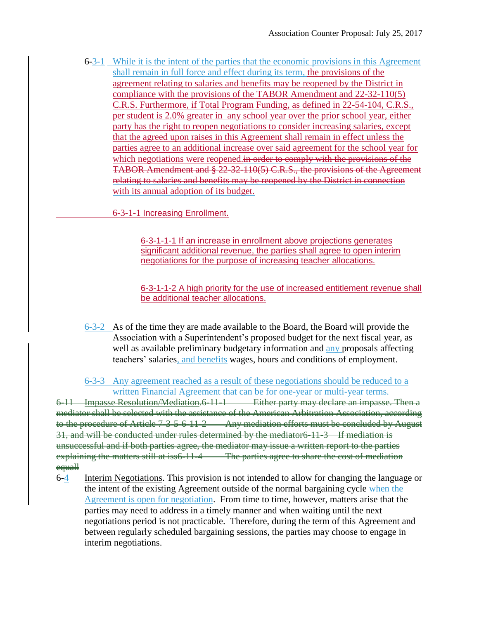6-3-1 While it is the intent of the parties that the economic provisions in this Agreement shall remain in full force and effect during its term, the provisions of the agreement relating to salaries and benefits may be reopened by the District in compliance with the provisions of the TABOR Amendment and 22-32-110(5) C.R.S. Furthermore, if Total Program Funding, as defined in 22-54-104, C.R.S., per student is 2.0% greater in any school year over the prior school year, either party has the right to reopen negotiations to consider increasing salaries, except that the agreed upon raises in this Agreement shall remain in effect unless the parties agree to an additional increase over said agreement for the school year for which negotiations were reopened.in order to comply with the provisions of the TABOR Amendment and § 22-32-110(5) C.R.S., the provisions of the Agreement relating to salaries and benefits may be reopened by the District in connection with its annual adoption of its budget.

6-3-1-1 Increasing Enrollment.

6-3-1-1-1 If an increase in enrollment above projections generates significant additional revenue, the parties shall agree to open interim negotiations for the purpose of increasing teacher allocations.

6-3-1-1-2 A high priority for the use of increased entitlement revenue shall be additional teacher allocations.

6-3-2 As of the time they are made available to the Board, the Board will provide the Association with a Superintendent's proposed budget for the next fiscal year, as well as available preliminary budgetary information and any proposals affecting teachers' salaries, and benefits wages, hours and conditions of employment.

6-3-3 Any agreement reached as a result of these negotiations should be reduced to a written Financial Agreement that can be for one-year or multi-year terms.

6-11 Impasse Resolution/Mediation.6-11-1 Either party may declare an impasse. Then a mediator shall be selected with the assistance of the American Arbitration Association, according to the procedure of Article 7-3-5-6-11-2 Any mediation efforts must be concluded by August 31, and will be conducted under rules determined by the mediator6-11-3 If mediation is unsuccessful and if both parties agree, the mediator may issue a written report to the parties explaining the matters still at iss6-11-4 The parties agree to share the cost of mediation equall

6-4 Interim Negotiations. This provision is not intended to allow for changing the language or the intent of the existing Agreement outside of the normal bargaining cycle when the Agreement is open for negotiation. From time to time, however, matters arise that the parties may need to address in a timely manner and when waiting until the next negotiations period is not practicable. Therefore, during the term of this Agreement and between regularly scheduled bargaining sessions, the parties may choose to engage in interim negotiations.